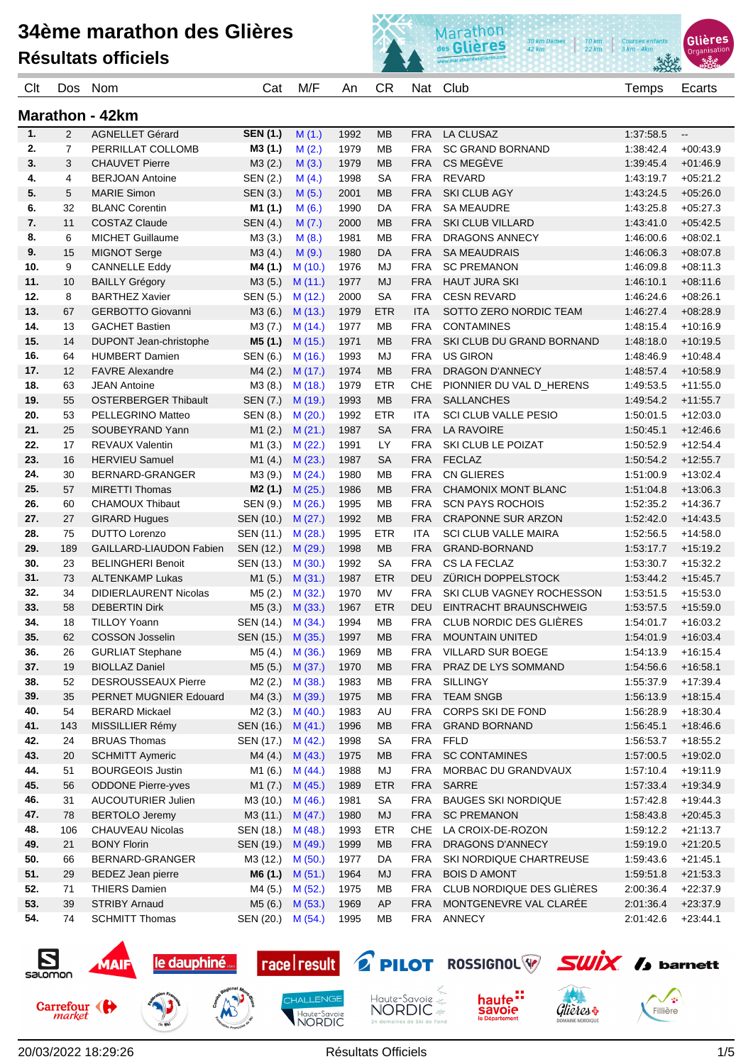

| Clt                    | Dos            | Nom                                               | Cat                          | M/F               | An           | <b>CR</b>               | Nat               | Club                                                | Temps                  | Ecarts                   |
|------------------------|----------------|---------------------------------------------------|------------------------------|-------------------|--------------|-------------------------|-------------------|-----------------------------------------------------|------------------------|--------------------------|
| <b>Marathon - 42km</b> |                |                                                   |                              |                   |              |                         |                   |                                                     |                        |                          |
| $\mathbf{1}$ .         | $\overline{2}$ | <b>AGNELLET Gérard</b>                            | <b>SEN (1.)</b>              | M(1.)             | 1992         | <b>MB</b>               | <b>FRA</b>        | <b>LA CLUSAZ</b>                                    | 1:37:58.5              | $\overline{\phantom{a}}$ |
| 2.                     | $\overline{7}$ | PERRILLAT COLLOMB                                 | M3 (1.)                      | M(2.)             | 1979         | <b>MB</b>               | <b>FRA</b>        | <b>SC GRAND BORNAND</b>                             | 1:38:42.4              | $+00:43.9$               |
| 3.                     | 3              | <b>CHAUVET Pierre</b>                             | M3(2.)                       | M(3.)             | 1979         | <b>MB</b>               | <b>FRA</b>        | CS MEGÈVE                                           | 1:39:45.4              | $+01.46.9$               |
| 4.                     | 4              | <b>BERJOAN Antoine</b>                            | SEN (2.)                     | M(4.)             | 1998         | SА                      | <b>FRA</b>        | <b>REVARD</b>                                       | 1.43.19.7              | $+05:21.2$               |
| 5.                     | 5              | <b>MARIE Simon</b>                                | SEN (3.)                     | M(5.)             | 2001         | <b>MB</b>               | <b>FRA</b>        | <b>SKI CLUB AGY</b>                                 | 1:43:24.5              | $+05.26.0$               |
| 6.                     | 32             | <b>BLANC Corentin</b>                             | M1 (1.)                      | M(6.)             | 1990         | DA                      | <b>FRA</b>        | <b>SA MEAUDRE</b>                                   | 1:43:25.8              | $+05:27.3$               |
| 7.                     | 11             | <b>COSTAZ Claude</b>                              | SEN (4.)                     | M(7.)             | 2000         | <b>MB</b>               | <b>FRA</b>        | <b>SKI CLUB VILLARD</b>                             | 1:43:41.0              | $+05.42.5$               |
| 8.                     | 6              | <b>MICHET Guillaume</b>                           | M3(3.)                       | M(8.)             | 1981         | МB                      | <b>FRA</b>        | DRAGONS ANNECY                                      | 1:46:00.6              | $+08:02.1$               |
| 9.                     | 15             | <b>MIGNOT Serge</b>                               | M3(4.)                       | M(9.)             | 1980         | DA                      | <b>FRA</b>        | <b>SA MEAUDRAIS</b>                                 | 1:46:06.3              | $+08.07.8$               |
| 10.                    | 9              | <b>CANNELLE Eddy</b>                              | M4 (1.)                      | M(10.)            | 1976         | MJ                      | <b>FRA</b>        | <b>SC PREMANON</b>                                  | 1:46:09.8              | $+08:11.3$               |
| 11.                    | 10             | <b>BAILLY Grégory</b>                             | M3(5.)                       | M(11.)            | 1977         | <b>MJ</b>               | <b>FRA</b>        | <b>HAUT JURA SKI</b>                                | 1:46:10.1              | $+08:11.6$               |
| 12.                    | 8              | <b>BARTHEZ Xavier</b>                             | SEN (5.)                     | M(12.)            | 2000         | <b>SA</b>               | <b>FRA</b>        | <b>CESN REVARD</b>                                  | 1:46:24.6              | $+08:26.1$               |
| 13.                    | 67             | <b>GERBOTTO Giovanni</b>                          | M3 (6.)                      | M(13.)            | 1979         | <b>ETR</b>              | <b>ITA</b>        | SOTTO ZERO NORDIC TEAM                              | 1:46:27.4              | $+08:28.9$               |
| 14.                    | 13             | <b>GACHET Bastien</b>                             | M3(7.)                       | M(14)             | 1977         | <b>MB</b>               | <b>FRA</b>        | <b>CONTAMINES</b>                                   | 1:48:15.4              | $+10:16.9$               |
| 15.                    | 14             | DUPONT Jean-christophe                            | M5 (1.)                      | M(15.)            | 1971         | <b>MB</b>               | <b>FRA</b>        | SKI CLUB DU GRAND BORNAND                           | 1:48:18.0              | $+10:19.5$               |
| 16.                    | 64             | <b>HUMBERT Damien</b>                             | SEN (6.)                     | M (16.)           | 1993         | MJ                      | <b>FRA</b>        | <b>US GIRON</b>                                     | 1:48:46.9              | $+10.48.4$               |
| 17.                    | 12             | <b>FAVRE Alexandre</b>                            | M4(2.)                       | M(17.)            | 1974         | <b>MB</b>               | <b>FRA</b>        | <b>DRAGON D'ANNECY</b>                              | 1:48:57.4              | $+10.58.9$               |
| 18.                    | 63             | <b>JEAN Antoine</b>                               | M3 (8.)                      | M (18.)           | 1979         | <b>ETR</b>              | CHE               | PIONNIER DU VAL D_HERENS                            | 1:49:53.5              | $+11:55.0$               |
| 19.                    | 55             | <b>OSTERBERGER Thibault</b>                       | SEN (7.)                     | M (19.)           | 1993         | <b>MB</b>               | <b>FRA</b>        | <b>SALLANCHES</b>                                   | 1:49:54.2              | $+11:55.7$               |
| 20.                    | 53             | PELLEGRINO Matteo                                 | SEN (8.)                     | M(20.)            | 1992         | <b>ETR</b>              | <b>ITA</b>        | <b>SCI CLUB VALLE PESIO</b>                         | 1:50:01.5              | $+12:03.0$               |
| 21.                    | 25             | SOUBEYRAND Yann                                   | M1(2.)                       | M(21.)            | 1987         | <b>SA</b>               | <b>FRA</b>        | <b>LA RAVOIRE</b>                                   | 1:50:45.1              | $+12:46.6$               |
| 22.                    | 17             | <b>REVAUX Valentin</b>                            | M1 (3.)                      | M (22.)           | 1991         | LY                      | <b>FRA</b>        | SKI CLUB LE POIZAT                                  | 1:50:52.9              | $+12.54.4$               |
| 23.                    | 16             | <b>HERVIEU Samuel</b>                             | M1(4.)                       | M(23.)            | 1987         | <b>SA</b>               | <b>FRA</b>        | <b>FECLAZ</b>                                       | 1:50:54.2              | $+12:55.7$               |
| 24.                    | 30             | BERNARD-GRANGER                                   | M3 (9.)                      | M(24.)            | 1980         | МB                      | <b>FRA</b>        | <b>CN GLIERES</b>                                   | 1.51.00.9              | $+13:02.4$               |
| 25.                    | 57             | <b>MIRETTI Thomas</b>                             | M2 (1.)                      | M(25.)            | 1986         | <b>MB</b>               | <b>FRA</b>        | CHAMONIX MONT BLANC                                 | 1:51:04.8              | $+13:06.3$               |
| 26.                    | 60             | <b>CHAMOUX Thibaut</b>                            | SEN (9.)                     | M(26.)            | 1995         | МB                      | <b>FRA</b>        | <b>SCN PAYS ROCHOIS</b>                             | 1.52.35.2              | $+14.36.7$               |
| 27.                    | 27             | <b>GIRARD Hugues</b>                              | SEN (10.)                    | M(27.)            | 1992         | <b>MB</b>               | <b>FRA</b>        | <b>CRAPONNE SUR ARZON</b>                           | 1:52:42.0              | $+14:43.5$               |
| 28.                    | 75             | <b>DUTTO Lorenzo</b>                              | SEN (11.)                    | M (28.)           | 1995         | <b>ETR</b>              | ITA               | <b>SCI CLUB VALLE MAIRA</b>                         | 1:52:56.5              | $+14:58.0$               |
| 29.                    | 189            | <b>GAILLARD-LIAUDON Fabien</b>                    | SEN (12.)                    | M(29.)            | 1998         | <b>MB</b>               | <b>FRA</b>        | GRAND-BORNAND                                       | 1:53:17.7              | $+15.19.2$               |
| 30.                    | 23             | <b>BELINGHERI Benoit</b>                          | SEN (13.)                    | M(30.)            | 1992         | <b>SA</b>               | FRA               | CS LA FECLAZ                                        | 1.53:30.7              | $+15:32.2$               |
| 31.                    | 73             | <b>ALTENKAMP Lukas</b>                            | M1 (5.)                      | M(31.)            | 1987         | <b>ETR</b>              | DEU               | <b>ZÜRICH DOPPELSTOCK</b>                           | 1:53:44.2              | $+15.45.7$               |
| 32.                    | 34             | DIDIERLAURENT Nicolas                             | M5 (2.)                      | M(32.)            | 1970         | MV                      | <b>FRA</b>        | SKI CLUB VAGNEY ROCHESSON<br>EINTRACHT BRAUNSCHWEIG | 1:53:51.5              | $+15:53.0$               |
| 33.<br>34.             | 58             | <b>DEBERTIN Dirk</b>                              | M5(3.)                       | M(33.)            | 1967         | <b>ETR</b><br><b>MB</b> | DEU<br><b>FRA</b> | CLUB NORDIC DES GLIÈRES                             | 1:53:57.5<br>1:54:01.7 | $+15.59.0$               |
|                        | 18             | <b>TILLOY Yoann</b>                               | SEN (14.)                    | M (34.)           | 1994         |                         |                   | <b>MOUNTAIN UNITED</b>                              |                        | $+16:03.2$               |
| 35.                    | 62             | <b>COSSON Josselin</b><br><b>GURLIAT Stephane</b> | SEN (15.)<br>M5 (4.) M (36.) | M(35.)            | 1997         | <b>MB</b>               | <b>FRA</b>        | VILLARD SUR BOEGE                                   | 1:54:01.9<br>1:54:13.9 | $+16.03.4$<br>$+16:15.4$ |
| 36.<br>37.             | 26<br>19       | <b>BIOLLAZ Daniel</b>                             |                              |                   | 1969<br>1970 | МB<br><b>MB</b>         | FRA<br><b>FRA</b> | PRAZ DE LYS SOMMAND                                 | 1:54:56.6              |                          |
| 38.                    | 52             | <b>DESROUSSEAUX Pierre</b>                        | M5 (5.)<br>M2 (2.)           | M(37.)<br>M (38.) | 1983         | <b>MB</b>               | <b>FRA</b>        | <b>SILLINGY</b>                                     | 1:55:37.9              | $+16:58.1$<br>$+17:39.4$ |
| 39.                    | 35             | PERNET MUGNIER Edouard                            | M4 (3.) M (39.)              |                   | 1975         | <b>MB</b>               | <b>FRA</b>        | <b>TEAM SNGB</b>                                    | 1:56:13.9              | $+18.15.4$               |
| 40.                    | 54             | <b>BERARD Mickael</b>                             | M2 (3.)                      | M (40.)           | 1983         | AU                      | <b>FRA</b>        | CORPS SKI DE FOND                                   | 1:56:28.9              | $+18:30.4$               |
| 41.                    | 143            | MISSILLIER Rémy                                   | SEN (16.) M (41.)            |                   | 1996         | <b>MB</b>               | <b>FRA</b>        | <b>GRAND BORNAND</b>                                | 1:56:45.1              | $+18.46.6$               |
| 42.                    | 24             | <b>BRUAS Thomas</b>                               | SEN (17.) M (42.)            |                   | 1998         | <b>SA</b>               | <b>FRA</b>        | <b>FFLD</b>                                         | 1:56:53.7              | $+18:55.2$               |
| 43.                    | 20             | <b>SCHMITT Aymeric</b>                            | M4 (4.)                      | M(43.)            | 1975         | <b>MB</b>               | <b>FRA</b>        | <b>SC CONTAMINES</b>                                | 1:57:00.5              | $+19:02.0$               |
| 44.                    | 51             | <b>BOURGEOIS Justin</b>                           | M1 (6.)                      | M (44.)           | 1988         | MJ                      | <b>FRA</b>        | MORBAC DU GRANDVAUX                                 | 1:57:10.4              | $+19:11.9$               |
| 45.                    | 56             | <b>ODDONE Pierre-yves</b>                         | M1 (7.)                      | M (45.)           | 1989         | <b>ETR</b>              | <b>FRA</b>        | SARRE                                               | 1:57:33.4              | $+19.34.9$               |
| 46.                    | 31             | <b>AUCOUTURIER Julien</b>                         | M3 (10.)                     | M (46.)           | 1981         | <b>SA</b>               | <b>FRA</b>        | <b>BAUGES SKI NORDIQUE</b>                          | 1:57:42.8              | $+19:44.3$               |
| 47.                    | 78             | <b>BERTOLO Jeremy</b>                             | M3 (11.) M (47.)             |                   | 1980         | MJ                      | <b>FRA</b>        | <b>SC PREMANON</b>                                  | 1.58:43.8              | $+20:45.3$               |
| 48.                    | 106            | <b>CHAUVEAU Nicolas</b>                           | SEN (18.) M (48.)            |                   | 1993         | <b>ETR</b>              | <b>CHE</b>        | LA CROIX-DE-ROZON                                   | 1:59:12.2              | $+21:13.7$               |
| 49.                    | 21             | <b>BONY Florin</b>                                | SEN (19.) M (49.)            |                   | 1999         | MB                      | <b>FRA</b>        | DRAGONS D'ANNECY                                    | 1:59:19.0              | $+21:20.5$               |
| 50.                    | 66             | BERNARD-GRANGER                                   | M3 (12.) M (50.)             |                   | 1977         | DA                      | <b>FRA</b>        | SKI NORDIQUE CHARTREUSE                             | 1:59:43.6              | $+21:45.1$               |
| 51.                    | 29             | BEDEZ Jean pierre                                 | $M6(1.)$ $M(51.)$            |                   | 1964         | MJ                      | <b>FRA</b>        | <b>BOIS D AMONT</b>                                 | 1:59:51.8              | $+21:53.3$               |
| 52.                    | 71             | <b>THIERS Damien</b>                              | M4 (5.)                      | M (52.)           | 1975         | <b>MB</b>               | FRA               | CLUB NORDIQUE DES GLIÈRES                           | 2:00:36.4              | $+22:37.9$               |
| 53.                    | 39             | <b>STRIBY Arnaud</b>                              | M5 (6.) M (53.)              |                   | 1969         | AP                      | <b>FRA</b>        | MONTGENEVRE VAL CLARÉE                              | 2:01:36.4              | $+23:37.9$               |
| 54.                    | 74             | <b>SCHMITT Thomas</b>                             | SEN (20.) M (54.)            |                   | 1995         | MB                      | FRA               | ANNECY                                              | 2:01:42.6              | $+23:44.1$               |
|                        |                |                                                   |                              |                   |              |                         |                   |                                                     |                        |                          |

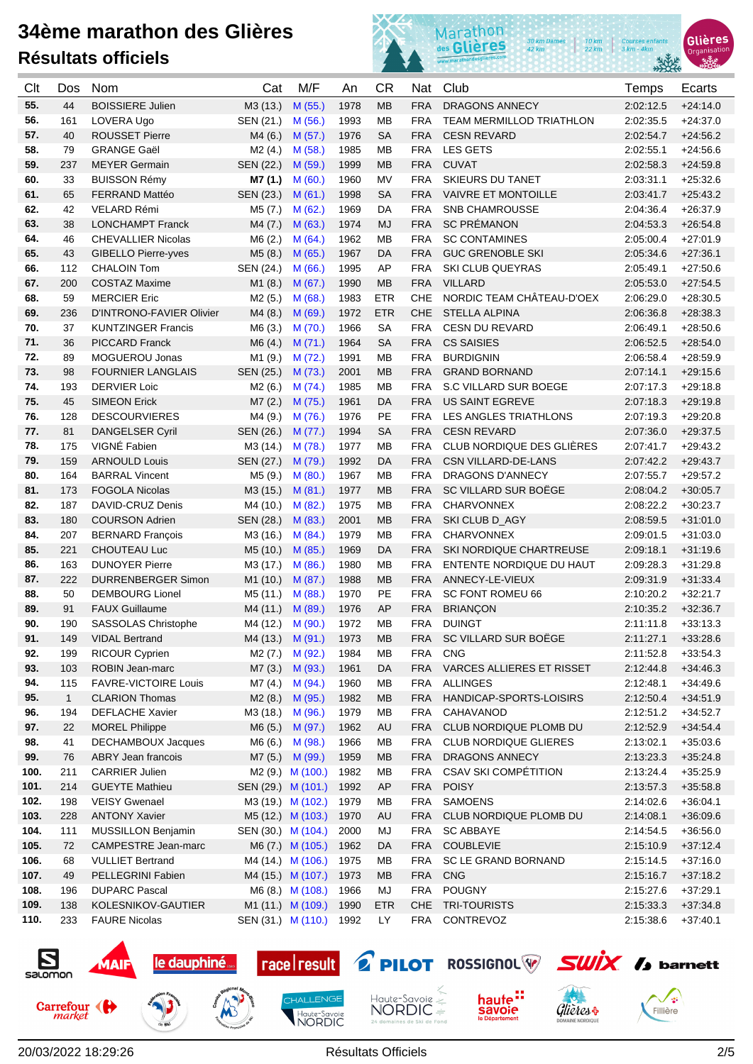



| Clt        | Dos.         | <b>Nom</b>                                         | Cat                | M/F                | An           | CR         | Nat                      | Club                                                   | Temps                  | Ecarts                   |
|------------|--------------|----------------------------------------------------|--------------------|--------------------|--------------|------------|--------------------------|--------------------------------------------------------|------------------------|--------------------------|
| 55.        | 44           | <b>BOISSIERE Julien</b>                            | M3 (13.)           | M (55.)            | 1978         | <b>MB</b>  | <b>FRA</b>               | <b>DRAGONS ANNECY</b>                                  | 2:02:12.5              | $+24:14.0$               |
| 56.        | 161          | LOVERA Ugo                                         | SEN (21.)          | M (56.)            | 1993         | <b>MB</b>  | <b>FRA</b>               | <b>TEAM MERMILLOD TRIATHLON</b>                        | 2:02:35.5              | $+24:37.0$               |
| 57.        | 40           | <b>ROUSSET Pierre</b>                              | M4 (6.)            | M(57.)             | 1976         | <b>SA</b>  | <b>FRA</b>               | <b>CESN REVARD</b>                                     | 2:02:54.7              | $+24:56.2$               |
| 58.        | 79           | <b>GRANGE Gaël</b>                                 | M2(4.)             | M (58.)            | 1985         | <b>MB</b>  | <b>FRA</b>               | <b>LES GETS</b>                                        | 2:02:55.1              | $+24:56.6$               |
| 59.        | 237          | <b>MEYER Germain</b>                               | SEN (22.)          | M (59.)            | 1999         | MB         | <b>FRA</b>               | <b>CUVAT</b>                                           | 2:02:58.3              | $+24:59.8$               |
| 60.        | 33           | <b>BUISSON Rémy</b>                                | M7 (1.)            | M(60.)             | 1960         | <b>MV</b>  | <b>FRA</b>               | <b>SKIEURS DU TANET</b>                                | 2:03:31.1              | $+25:32.6$               |
| 61.        | 65           | <b>FERRAND Mattéo</b>                              | SEN (23.)          | M(61.)             | 1998         | <b>SA</b>  | <b>FRA</b>               | <b>VAIVRE ET MONTOILLE</b>                             | 2:03:41.7              | $+25.43.2$               |
| 62.        | 42           | VELARD Rémi                                        | M5 (7.)            | M(62.)             | 1969         | DA         | <b>FRA</b>               | <b>SNB CHAMROUSSE</b>                                  | 2:04:36.4              | $+26.37.9$               |
| 63.        | 38           | <b>LONCHAMPT Franck</b>                            | M4(7.)             | M(63.)             | 1974         | <b>MJ</b>  | <b>FRA</b>               | <b>SC PRÉMANON</b>                                     | 2:04:53.3              | $+26.54.8$               |
| 64.        | 46           | <b>CHEVALLIER Nicolas</b>                          | M6(2.)             | M(64)              | 1962         | MВ         | <b>FRA</b>               | <b>SC CONTAMINES</b>                                   | 2:05:00.4              | $+27:01.9$               |
| 65.        | 43           | <b>GIBELLO Pierre-yves</b>                         | M5(8.)             | M(65.)             | 1967         | DA         | <b>FRA</b>               | <b>GUC GRENOBLE SKI</b>                                | 2:05:34.6              | $+27:36.1$               |
| 66.        | 112          | <b>CHALOIN Tom</b>                                 | SEN (24.)          | M(66.)             | 1995         | AP         | <b>FRA</b>               | SKI CLUB QUEYRAS                                       | 2:05:49.1              | $+27:50.6$               |
| 67.        | 200          | <b>COSTAZ Maxime</b>                               | M1(8.)             | M(67.)             | 1990         | <b>MB</b>  | <b>FRA</b>               | <b>VILLARD</b>                                         | 2:05:53.0              | $+27.54.5$               |
| 68.        | 59           | <b>MERCIER Eric</b>                                | M2(5.)             | M(68.)             | 1983         | <b>ETR</b> | CHE                      | NORDIC TEAM CHÂTEAU-D'OEX                              | 2:06:29.0              | $+28:30.5$               |
| 69.        | 236          | D'INTRONO-FAVIER Olivier                           | M4 (8.)            | M (69.)            | 1972         | <b>ETR</b> | CHE                      | <b>STELLA ALPINA</b>                                   | 2:06:36.8              | $+28:38.3$               |
| 70.        | 37           | <b>KUNTZINGER Francis</b>                          | M6(3.)             | M(70.)             | 1966         | <b>SA</b>  | <b>FRA</b>               | <b>CESN DU REVARD</b>                                  | 2:06:49.1              | $+28:50.6$               |
| 71.        | 36           | <b>PICCARD Franck</b>                              | M6(4.)             | M(71.)             | 1964         | <b>SA</b>  | <b>FRA</b>               | <b>CS SAISIES</b>                                      | 2:06:52.5              | $+28:54.0$               |
| 72.        | 89           | MOGUEROU Jonas                                     | M1 (9.)            | M(72.)             | 1991         | MВ         | <b>FRA</b>               | <b>BURDIGNIN</b>                                       | 2:06:58.4              | $+28.59.9$               |
| 73.        | 98           | <b>FOURNIER LANGLAIS</b>                           | SEN (25.)          | M (73.)            | 2001         | MB         | <b>FRA</b>               | <b>GRAND BORNAND</b>                                   | 2:07:14.1              | $+29:15.6$               |
| 74.        | 193          | <b>DERVIER Loic</b>                                | M2(6.)             | M(74)              | 1985         | MВ         | <b>FRA</b>               | S.C VILLARD SUR BOEGE                                  | 2:07:17.3              | $+29:18.8$               |
| 75.        | 45           | <b>SIMEON Erick</b>                                | M7(2.)             | M (75.)            | 1961         | DA         | <b>FRA</b>               | <b>US SAINT EGREVE</b>                                 | 2:07:18.3              | $+29:19.8$               |
| 76.        | 128          | <b>DESCOURVIERES</b>                               | M4 (9.)            | M (76.)            | 1976         | PE         | <b>FRA</b>               | LES ANGLES TRIATHLONS                                  | 2:07:19.3              | $+29:20.8$               |
| 77.        | 81           | <b>DANGELSER Cyril</b>                             | SEN (26.)          | M(77.)             | 1994         | SА         | <b>FRA</b>               | <b>CESN REVARD</b>                                     | 2:07:36.0              | $+29.37.5$               |
| 78.        | 175          | VIGNÉ Fabien                                       | M3 (14.)           | M (78.)            | 1977         | <b>MB</b>  | <b>FRA</b>               | CLUB NORDIQUE DES GLIÈRES                              | 2:07:41.7              | $+29.43.2$               |
| 79.        | 159          | <b>ARNOULD Louis</b>                               | SEN (27.)          | M (79.)            | 1992         | DA         | <b>FRA</b>               | CSN VILLARD-DE-LANS                                    | 2:07:42.2              | $+29.43.7$               |
| 80.        | 164          | <b>BARRAL Vincent</b>                              | M5 (9.)            | M(80.)             | 1967         | <b>MB</b>  | <b>FRA</b>               | <b>DRAGONS D'ANNECY</b>                                | 2:07:55.7              | $+29:57.2$               |
| 81.        | 173          | <b>FOGOLA Nicolas</b>                              | M3 (15.)           | M(81.)             | 1977         | MB         | <b>FRA</b>               | SC VILLARD SUR BOËGE                                   | 2:08:04.2              | $+30:05.7$               |
| 82.        | 187          | DAVID-CRUZ Denis                                   | M4 (10.)           | M(82.)             | 1975         | MВ         | <b>FRA</b>               | <b>CHARVONNEX</b>                                      | 2:08:22.2              | $+30.23.7$               |
| 83.        | 180          | <b>COURSON Adrien</b>                              | SEN (28.)          | M (83.)            | 2001         | <b>MB</b>  | <b>FRA</b>               | SKI CLUB D_AGY                                         | 2:08:59.5              | $+31:01.0$               |
| 84.        | 207          | <b>BERNARD François</b>                            | M3 (16.)           | M(84)              | 1979         | <b>MB</b>  | <b>FRA</b>               | <b>CHARVONNEX</b>                                      | 2:09:01.5              | $+31:03.0$               |
| 85.        | 221          | CHOUTEAU Luc                                       | M5 (10.)           | M (85.)            | 1969         | DA         | <b>FRA</b>               | SKI NORDIQUE CHARTREUSE                                | 2:09:18.1              | $+31:19.6$               |
| 86.        | 163          | <b>DUNOYER Pierre</b>                              | M3 (17.)           | M(86.)             | 1980         | MB         | <b>FRA</b>               | ENTENTE NORDIQUE DU HAUT                               | 2:09:28.3              | $+31:29.8$               |
| 87.        | 222          | <b>DURRENBERGER Simon</b>                          | M1 (10.)           | M(87.)             | 1988         | <b>MB</b>  | <b>FRA</b>               | ANNECY-LE-VIEUX                                        | 2:09:31.9              | $+31.33.4$               |
| 88.        | 50           | <b>DEMBOURG Lionel</b>                             | M5 (11.)           | M(88.)             | 1970         | PE         | <b>FRA</b>               | SC FONT ROMEU 66                                       | 2:10:20.2              | $+32:21.7$               |
| 89.        | 91           | <b>FAUX Guillaume</b>                              | M4 (11.)           | M (89.)            | 1976         | AP         | <b>FRA</b>               | <b>BRIANÇON</b>                                        | 2:10:35.2              | $+32:36.7$               |
| 90.        | 190          | <b>SASSOLAS Christophe</b>                         | M4 (12.)           | M (90.)            | 1972         | <b>MB</b>  | <b>FRA</b>               | <b>DUINGT</b>                                          | 2:11:11.8              | $+33:13.3$               |
| 91.        | 149          | <b>VIDAL Bertrand</b>                              |                    | M4 (13.) M (91.)   | 1973         | MB         | <b>FRA</b>               | SC VILLARD SUR BOËGE                                   | 2:11:27.1              | $+33:28.6$               |
| 92.        | 199          | RICOUR Cyprien                                     | $M2(7.)$ M $(92.)$ |                    | 1984         | MВ         | FRA                      | <b>CNG</b>                                             | 2:11:52.8              | $+33:54.3$               |
| 93.        | 103          | ROBIN Jean-marc                                    | M7 (3.)            | M (93.)            | 1961         | DA         | <b>FRA</b>               | VARCES ALLIERES ET RISSET                              | 2:12:44.8              | $+34:46.3$               |
| 94.        | 115          | <b>FAVRE-VICTOIRE Louis</b>                        | M7 (4.)            | M(94.)             | 1960         | MВ         | <b>FRA</b>               | <b>ALLINGES</b>                                        | 2:12:48.1              | $+34:49.6$               |
| 95.        | $\mathbf{1}$ | <b>CLARION Thomas</b>                              | M2 (8.)            | M (95.)            | 1982         | <b>MB</b>  | <b>FRA</b>               | HANDICAP-SPORTS-LOISIRS                                | 2:12:50.4              | $+34:51.9$               |
| 96.        | 194          | <b>DEFLACHE Xavier</b>                             | M3 (18.)           | M (96.)            | 1979         | MB         | <b>FRA</b>               | CAHAVANOD                                              | 2:12:51.2              | $+34:52.7$               |
| 97.<br>98. | 22<br>41     | <b>MOREL Philippe</b><br><b>DECHAMBOUX Jacques</b> | M6 (5.)            | M (97.)            | 1962<br>1966 | AU<br>MВ   | <b>FRA</b><br><b>FRA</b> | CLUB NORDIQUE PLOMB DU<br><b>CLUB NORDIQUE GLIERES</b> | 2:12:52.9<br>2:13:02.1 | $+34.54.4$               |
| 99.        | 76           | <b>ABRY Jean francois</b>                          | M6 (6.)<br>M7 (5.) | M (98.)<br>M (99.) | 1959         | <b>MB</b>  | <b>FRA</b>               | <b>DRAGONS ANNECY</b>                                  | 2:13:23.3              | $+35:03.6$<br>$+35:24.8$ |
| 100.       | 211          | <b>CARRIER Julien</b>                              |                    | M2 (9.) M (100.)   | 1982         | MB         | <b>FRA</b>               | <b>CSAV SKI COMPÉTITION</b>                            | 2:13:24.4              | $+35:25.9$               |
| 101.       | 214          | <b>GUEYTE Mathieu</b>                              | SEN (29.) M (101.) |                    | 1992         | AP         | <b>FRA</b>               | <b>POISY</b>                                           | 2:13:57.3              | $+35.58.8$               |
| 102.       | 198          | <b>VEISY Gwenael</b>                               | M3 (19.) M (102.)  |                    | 1979         | MB         | <b>FRA</b>               | <b>SAMOENS</b>                                         | 2:14:02.6              | $+36:04.1$               |
| 103.       | 228          | <b>ANTONY Xavier</b>                               | M5 (12.) M (103.)  |                    | 1970         | AU         | <b>FRA</b>               | CLUB NORDIQUE PLOMB DU                                 | 2:14:08.1              | $+36.09.6$               |
| 104.       | 111          | MUSSILLON Benjamin                                 | SEN (30.) M (104.) |                    | 2000         | MJ         | <b>FRA</b>               | <b>SC ABBAYE</b>                                       | 2:14:54.5              | $+36.56.0$               |
| 105.       | 72           | <b>CAMPESTRE Jean-marc</b>                         |                    | M6 (7.) M (105.)   | 1962         | DA         | <b>FRA</b>               | <b>COUBLEVIE</b>                                       | 2:15:10.9              | $+37:12.4$               |
| 106.       | 68           | <b>VULLIET Bertrand</b>                            |                    | M4 (14.) M (106.)  | 1975         | MB         | <b>FRA</b>               | SC LE GRAND BORNAND                                    | 2:15:14.5              | $+37:16.0$               |
| 107.       | 49           | PELLEGRINI Fabien                                  |                    | M4 (15.) M (107.)  | 1973         | <b>MB</b>  | <b>FRA</b>               | CNG                                                    | 2:15:16.7              | $+37:18.2$               |
| 108.       | 196          | <b>DUPARC Pascal</b>                               |                    | M6 (8.) M (108.)   | 1966         | MJ         | <b>FRA</b>               | POUGNY                                                 | 2:15:27.6              | $+37:29.1$               |
| 109.       | 138          | KOLESNIKOV-GAUTIER                                 | M1 (11.) M (109.)  |                    | 1990         | <b>ETR</b> | <b>CHE</b>               | <b>TRI-TOURISTS</b>                                    | 2:15:33.3              | $+37:34.8$               |
| 110.       | 233          | <b>FAURE Nicolas</b>                               | SEN (31.) M (110.) |                    | 1992         | LY         | <b>FRA</b>               | CONTREVOZ                                              | 2:15:38.6              | $+37:40.1$               |

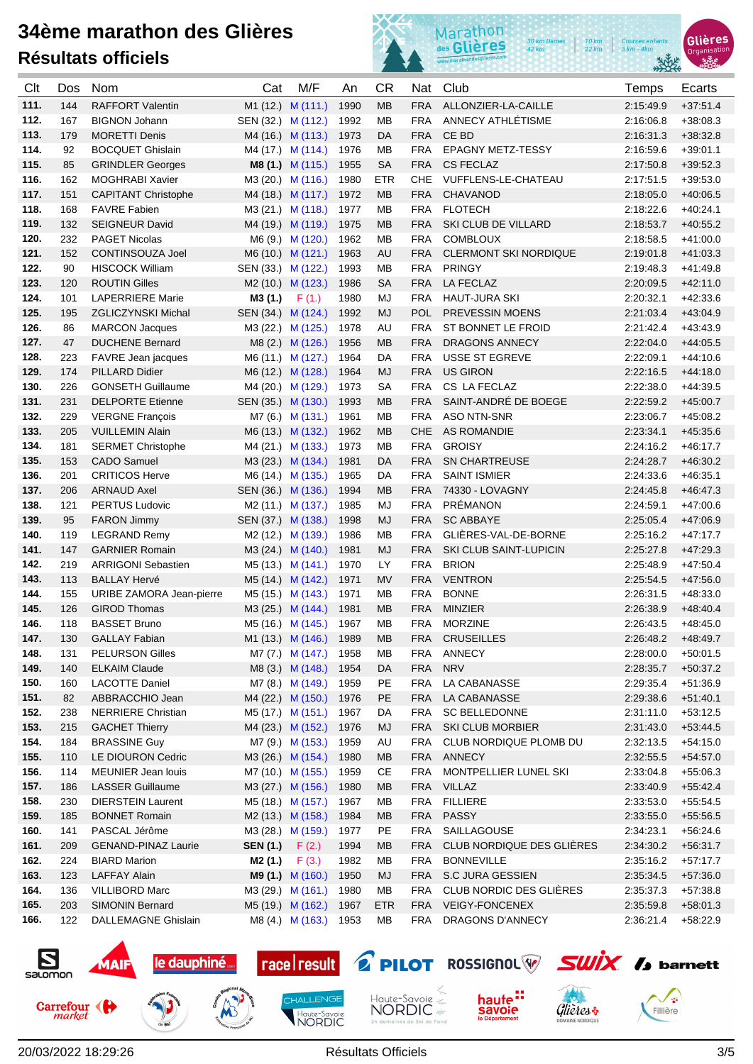

Glières

Organi

| Clt  | Dos | <b>Nom</b>                 | Cat                     | M/F                           | An   | <b>CR</b>  | Nat        | Club                         | Temps     | Ecarts     |
|------|-----|----------------------------|-------------------------|-------------------------------|------|------------|------------|------------------------------|-----------|------------|
| 111. | 144 | <b>RAFFORT Valentin</b>    |                         | M1 (12.) M (111.)             | 1990 | <b>MB</b>  | <b>FRA</b> | ALLONZIER-LA-CAILLE          | 2:15:49.9 | $+37:51.4$ |
| 112. | 167 | <b>BIGNON Johann</b>       | SEN (32.) M (112.)      |                               | 1992 | <b>MB</b>  | <b>FRA</b> | ANNECY ATHLÉTISME            | 2:16:06.8 | $+38:08.3$ |
| 113. | 179 | <b>MORETTI Denis</b>       |                         | M4 (16.) M (113.)             | 1973 | DA         | <b>FRA</b> | CE BD                        | 2:16:31.3 | $+38:32.8$ |
| 114. | 92  | <b>BOCQUET Ghislain</b>    |                         | M4 (17.) M (114.)             | 1976 | <b>MB</b>  | <b>FRA</b> | <b>EPAGNY METZ-TESSY</b>     | 2:16:59.6 | $+39:01.1$ |
| 115. | 85  | <b>GRINDLER Georges</b>    |                         | M8 (1.) M (115.)              | 1955 | <b>SA</b>  | <b>FRA</b> | <b>CS FECLAZ</b>             | 2:17:50.8 | $+39.52.3$ |
| 116. | 162 | <b>MOGHRABI Xavier</b>     |                         | M3 (20.) M (116.)             | 1980 | <b>ETR</b> | CHE        | VUFFLENS-LE-CHATEAU          | 2:17:51.5 | $+39:53.0$ |
| 117. | 151 | <b>CAPITANT Christophe</b> | M4 (18.) M (117.)       |                               | 1972 | MB         | <b>FRA</b> | <b>CHAVANOD</b>              | 2:18:05.0 | $+40:06.5$ |
| 118. | 168 | <b>FAVRE Fabien</b>        | M3 (21.) M (118.)       |                               | 1977 | <b>MB</b>  | <b>FRA</b> | <b>FLOTECH</b>               | 2:18:22.6 | $+40.24.1$ |
| 119. | 132 | <b>SEIGNEUR David</b>      | M4 (19.) M (119.)       |                               | 1975 | MB         | <b>FRA</b> | <b>SKI CLUB DE VILLARD</b>   | 2:18:53.7 | $+40.55.2$ |
| 120. | 232 | <b>PAGET Nicolas</b>       |                         | M6 (9.) M (120.)              | 1962 | МB         | <b>FRA</b> | <b>COMBLOUX</b>              | 2:18:58.5 | $+41:00.0$ |
| 121. | 152 | <b>CONTINSOUZA Joel</b>    |                         | M6 (10.) M (121.)             | 1963 | AU         | <b>FRA</b> | <b>CLERMONT SKI NORDIQUE</b> | 2:19:01.8 | $+41:03.3$ |
| 122. | 90  | <b>HISCOCK William</b>     | SEN (33.) M (122.)      |                               | 1993 | MВ         | <b>FRA</b> | <b>PRINGY</b>                | 2:19:48.3 | $+41.49.8$ |
| 123. | 120 | <b>ROUTIN Gilles</b>       | M2 (10.) M (123.)       |                               | 1986 | <b>SA</b>  | <b>FRA</b> | <b>LA FECLAZ</b>             | 2:20:09.5 | $+42:11.0$ |
| 124. | 101 | <b>LAPERRIERE Marie</b>    | <b>M3 (1.)</b> $F(1.)$  |                               | 1980 | MJ         | <b>FRA</b> | <b>HAUT-JURA SKI</b>         | 2:20:32.1 | $+42.33.6$ |
| 125. | 195 | <b>ZGLICZYNSKI Michal</b>  | SEN (34.) M (124.)      |                               | 1992 | <b>MJ</b>  | <b>POL</b> | <b>PREVESSIN MOENS</b>       | 2:21:03.4 | $+43.04.9$ |
| 126. | 86  | <b>MARCON Jacques</b>      |                         | M3 (22.) M (125.)             | 1978 | AU         | <b>FRA</b> | ST BONNET LE FROID           | 2:21:42.4 | $+43.43.9$ |
| 127. | 47  | <b>DUCHENE Bernard</b>     |                         | M8 (2.) M (126.)              | 1956 | <b>MB</b>  | <b>FRA</b> | DRAGONS ANNECY               | 2:22:04.0 | $+44.05.5$ |
| 128. | 223 | <b>FAVRE</b> Jean jacques  | M6 (11.) M (127.)       |                               | 1964 | DA         | <b>FRA</b> | <b>USSE ST EGREVE</b>        | 2:22:09.1 | $+44.10.6$ |
| 129. | 174 | <b>PILLARD Didier</b>      | M6 (12.) M (128.)       |                               | 1964 | <b>MJ</b>  | <b>FRA</b> | <b>US GIRON</b>              | 2:22:16.5 | $+44:18.0$ |
| 130. | 226 | <b>GONSETH Guillaume</b>   | M4 (20.) M (129.)       |                               | 1973 | <b>SA</b>  | <b>FRA</b> | CS LA FECLAZ                 | 2:22:38.0 | $+44:39.5$ |
| 131. | 231 | <b>DELPORTE Etienne</b>    | SEN (35.) M (130.)      |                               | 1993 | <b>MB</b>  | <b>FRA</b> | SAINT-ANDRÉ DE BOEGE         | 2:22:59.2 | $+45.00.7$ |
| 132. | 229 | <b>VERGNE François</b>     |                         | M7 (6.) M (131.)              | 1961 | MВ         | <b>FRA</b> | <b>ASO NTN-SNR</b>           | 2:23:06.7 | $+45.08.2$ |
| 133. | 205 | <b>VUILLEMIN Alain</b>     | M6 (13.) M (132.)       |                               | 1962 | MB         | <b>CHE</b> | <b>AS ROMANDIE</b>           | 2:23:34.1 | $+45:35.6$ |
| 134. | 181 | <b>SERMET Christophe</b>   | M4 (21.) M (133.)       |                               | 1973 | MВ         | <b>FRA</b> | <b>GROISY</b>                | 2:24:16.2 | $+46:17.7$ |
| 135. | 153 | <b>CADO Samuel</b>         | M3 (23.) M (134.)       |                               | 1981 | DA         | <b>FRA</b> | <b>SN CHARTREUSE</b>         | 2:24:28.7 | $+46.30.2$ |
| 136. | 201 | <b>CRITICOS Herve</b>      | M6 (14.) M (135.)       |                               | 1965 | DA         | <b>FRA</b> | <b>SAINT ISMIER</b>          | 2:24:33.6 | $+46.35.1$ |
| 137. | 206 | <b>ARNAUD Axel</b>         | SEN (36.) M (136.)      |                               | 1994 | MB         | <b>FRA</b> | 74330 - LOVAGNY              | 2:24:45.8 | $+46:47.3$ |
| 138. | 121 | <b>PERTUS Ludovic</b>      | M2 (11.) M (137.)       |                               | 1985 | <b>MJ</b>  | <b>FRA</b> | PRÉMANON                     | 2:24:59.1 | $+47:00.6$ |
| 139. | 95  | <b>FARON Jimmy</b>         | SEN (37.) M (138.)      |                               | 1998 | <b>MJ</b>  | <b>FRA</b> | <b>SC ABBAYE</b>             | 2:25:05.4 | $+47:06.9$ |
| 140. | 119 | <b>LEGRAND Remy</b>        | M2 (12.) M (139.)       |                               | 1986 | МB         | <b>FRA</b> | GLIÈRES-VAL-DE-BORNE         | 2:25:16.2 | $+47.17.7$ |
| 141. | 147 | <b>GARNIER Romain</b>      | M3 (24.) M (140.)       |                               | 1981 | <b>MJ</b>  | <b>FRA</b> | SKI CLUB SAINT-LUPICIN       | 2:25:27.8 | $+47:29.3$ |
| 142. | 219 | <b>ARRIGONI Sebastien</b>  | M5 (13.) M (141.)       |                               | 1970 | LY         | <b>FRA</b> | <b>BRION</b>                 | 2:25:48.9 | $+47.50.4$ |
| 143. | 113 | <b>BALLAY Hervé</b>        | M5 (14.) M (142.)       |                               | 1971 | <b>MV</b>  | <b>FRA</b> | <b>VENTRON</b>               | 2:25:54.5 | $+47:56.0$ |
| 144. | 155 | URIBE ZAMORA Jean-pierre   | M5 (15.) M (143.)       |                               | 1971 | MВ         | <b>FRA</b> | <b>BONNE</b>                 | 2:26:31.5 | $+48:33.0$ |
| 145. | 126 | <b>GIROD Thomas</b>        | M3 (25.) M (144.)       |                               | 1981 | MB         | <b>FRA</b> | <b>MINZIER</b>               | 2:26:38.9 | $+48.40.4$ |
| 146. | 118 | <b>BASSET Bruno</b>        |                         | M5 (16.) M (145.)             | 1967 | MB         | <b>FRA</b> | <b>MORZINE</b>               | 2:26:43.5 | $+48.45.0$ |
| 147. | 130 | <b>GALLAY Fabian</b>       |                         | M1 (13.) M (146.)             | 1989 | <b>MB</b>  | <b>FRA</b> | <b>CRUSEILLES</b>            | 2.26.48.2 | $+48.49.7$ |
| 148. | 131 | <b>PELURSON Gilles</b>     |                         | M7 (7.) M (147.)              | 1958 | MВ         | FRA        | ANNECY                       | 2:28:00.0 | $+50.01.5$ |
| 149. | 140 | <b>ELKAIM Claude</b>       |                         | M8 (3.) M (148.)              | 1954 | DA         | <b>FRA</b> | <b>NRV</b>                   | 2:28:35.7 | $+50.37.2$ |
| 150. | 160 | <b>LACOTTE Daniel</b>      |                         | M7 (8.) M (149.)              | 1959 | PE         | <b>FRA</b> | LA CABANASSE                 | 2:29:35.4 | $+51:36.9$ |
| 151. | 82  | ABBRACCHIO Jean            |                         | M4 (22.) M (150.)             | 1976 | PE         | <b>FRA</b> | LA CABANASSE                 | 2:29:38.6 | $+51:40.1$ |
| 152. | 238 | <b>NERRIERE Christian</b>  |                         | M5 (17.) M (151.)             | 1967 | DA         | FRA        | <b>SC BELLEDONNE</b>         | 2:31:11.0 | $+53:12.5$ |
| 153. | 215 | <b>GACHET Thierry</b>      |                         | M4 (23.) M (152.)             | 1976 | MJ         | <b>FRA</b> | <b>SKI CLUB MORBIER</b>      | 2:31:43.0 | $+53:44.5$ |
| 154. | 184 | <b>BRASSINE Guy</b>        |                         | M7 (9.) M (153.)              | 1959 | AU         | <b>FRA</b> | CLUB NORDIQUE PLOMB DU       | 2:32:13.5 | $+54:15.0$ |
| 155. | 110 | LE DIOURON Cedric          |                         | M3 (26.) M (154.)             | 1980 | <b>MB</b>  | <b>FRA</b> | ANNECY                       | 2:32:55.5 | $+54:57.0$ |
| 156. | 114 | MEUNIER Jean louis         |                         | M7 (10.) M (155.)             | 1959 | CE         | <b>FRA</b> | MONTPELLIER LUNEL SKI        | 2:33:04.8 | $+55:06.3$ |
| 157. | 186 | <b>LASSER Guillaume</b>    |                         | M3 (27.) M (156.)             | 1980 | <b>MB</b>  |            | FRA VILLAZ                   | 2:33:40.9 | $+55:42.4$ |
| 158. | 230 | <b>DIERSTEIN Laurent</b>   |                         | M5 (18.) M (157.)             | 1967 | MB         | <b>FRA</b> | <b>FILLIERE</b>              | 2:33:53.0 | $+55.54.5$ |
| 159. | 185 | <b>BONNET Romain</b>       |                         | M <sub>2</sub> (13.) M (158.) | 1984 | <b>MB</b>  | <b>FRA</b> | <b>PASSY</b>                 | 2:33:55.0 | $+55:56.5$ |
| 160. | 141 | PASCAL Jérôme              |                         | M3 (28.) M (159.)             | 1977 | PE         | <b>FRA</b> | SAILLAGOUSE                  | 2:34:23.1 | $+56.24.6$ |
| 161. | 209 | <b>GENAND-PINAZ Laurie</b> | <b>SEN (1.)</b> $F(2.)$ |                               | 1994 | МB         | <b>FRA</b> | CLUB NORDIQUE DES GLIÈRES    | 2:34:30.2 | $+56:31.7$ |
| 162. | 224 | <b>BIARD Marion</b>        | M2 (1.)                 | F(3.)                         | 1982 | МB         | <b>FRA</b> | <b>BONNEVILLE</b>            | 2:35:16.2 | $+57:17.7$ |
| 163. | 123 | <b>LAFFAY Alain</b>        |                         | <b>M9 (1.)</b> M (160.)       | 1950 | <b>MJ</b>  |            | FRA S.C JURA GESSIEN         | 2.35:34.5 | $+57:36.0$ |
| 164. | 136 | <b>VILLIBORD Marc</b>      |                         | M3 (29.) M (161.)             | 1980 | <b>MB</b>  | FRA        | CLUB NORDIC DES GLIÈRES      | 2:35:37.3 | +57:38.8   |
| 165. | 203 | <b>SIMONIN Bernard</b>     |                         | M5 (19.) M (162.)             | 1967 | <b>ETR</b> |            | FRA VEIGY-FONCENEX           | 2:35:59.8 | $+58.01.3$ |
| 166. | 122 | <b>DALLEMAGNE Ghislain</b> |                         | M8 (4.) M (163.)              | 1953 | MВ         | FRA        | DRAGONS D'ANNECY             | 2:36:21.4 | +58:22.9   |

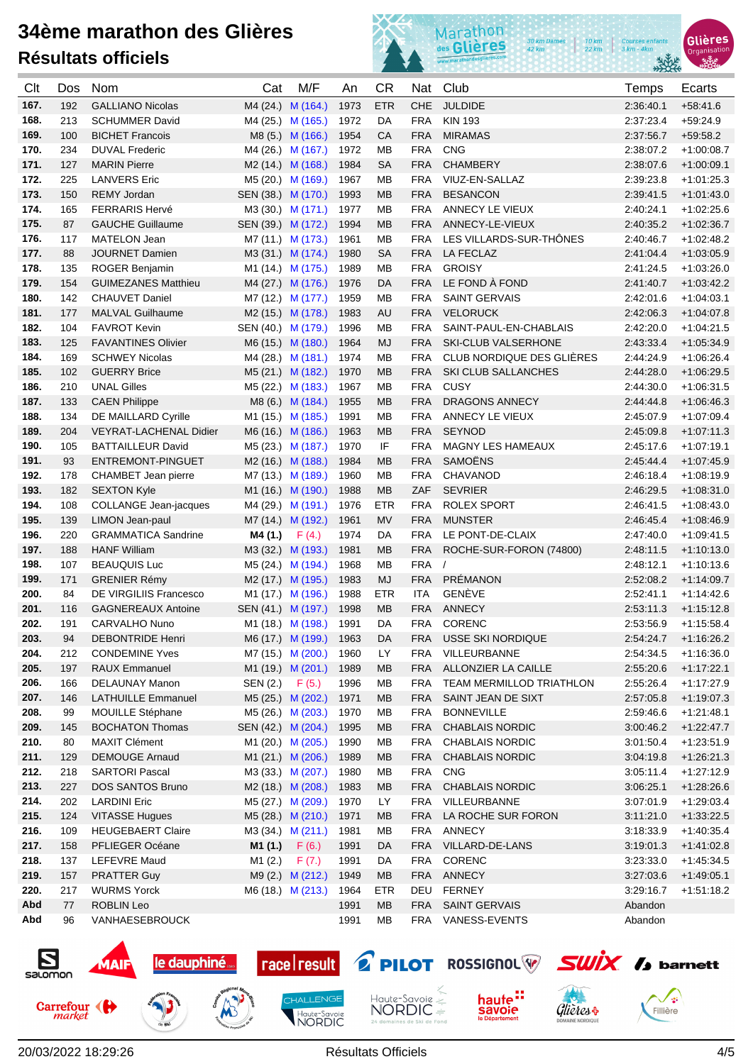



| Clt          | Dos        | <b>Nom</b>                                 | Cat                                    | M/F                    | An           | <b>CR</b>              | Nat                      | Club                       | Temps                  | Ecarts                       |
|--------------|------------|--------------------------------------------|----------------------------------------|------------------------|--------------|------------------------|--------------------------|----------------------------|------------------------|------------------------------|
| 167.         | 192        | <b>GALLIANO Nicolas</b>                    |                                        | M4 (24.) M (164.)      | 1973         | <b>ETR</b>             | <b>CHE</b>               | <b>JULDIDE</b>             | 2:36:40.1              | $+58.41.6$                   |
| 168.         | 213        | <b>SCHUMMER David</b>                      | M4 (25.) M (165.)                      |                        | 1972         | DA                     | FRA                      | <b>KIN 193</b>             | 2:37:23.4              | $+59.24.9$                   |
| 169.         | 100        | <b>BICHET Francois</b>                     |                                        | M8 (5.) M (166.)       | 1954         | CA                     | <b>FRA</b>               | <b>MIRAMAS</b>             | 2:37:56.7              | $+59:58.2$                   |
| 170.         | 234        | <b>DUVAL Frederic</b>                      | M4 (26.) M (167.)                      |                        | 1972         | МB                     | <b>FRA</b>               | <b>CNG</b>                 | 2:38:07.2              | $+1:00:08.7$                 |
| 171.         | 127        | <b>MARIN Pierre</b>                        | M2 (14.) M (168.)                      |                        | 1984         | <b>SA</b>              | <b>FRA</b>               | <b>CHAMBERY</b>            | 2:38:07.6              | $+1:00:09.1$                 |
| 172.         | 225        | <b>LANVERS Eric</b>                        | M5 (20.) M (169.)                      |                        | 1967         | MB                     | <b>FRA</b>               | VIUZ-EN-SALLAZ             | 2:39:23.8              | $+1:01:25.3$                 |
| 173.         | 150        | <b>REMY Jordan</b>                         | SEN (38.) M (170.)                     |                        | 1993         | <b>MB</b>              | <b>FRA</b>               | <b>BESANCON</b>            | 2:39:41.5              | $+1:01:43.0$                 |
| 174.         | 165        | <b>FERRARIS Hervé</b>                      | M3 (30.) M (171.)                      |                        | 1977         | МB                     | <b>FRA</b>               | ANNECY LE VIEUX            | 2:40:24.1              | $+1.02:25.6$                 |
| 175.         | 87         | <b>GAUCHE Guillaume</b>                    | SEN (39.) M (172.)                     |                        | 1994         | MB                     | <b>FRA</b>               | ANNECY-LE-VIEUX            | 2:40:35.2              | $+1:02:36.7$                 |
| 176.         | 117        | <b>MATELON Jean</b>                        | M7 (11.) M (173.)                      |                        | 1961         | МB                     | <b>FRA</b>               | LES VILLARDS-SUR-THÖNES    | 2:40:46.7              | $+1:02:48.2$                 |
| 177.         | 88         | <b>JOURNET Damien</b>                      | M3 (31.) M (174.)                      |                        | 1980         | <b>SA</b>              | <b>FRA</b>               | LA FECLAZ                  | 2:41:04.4              | $+1:03:05.9$                 |
| 178.         | 135        | <b>ROGER Benjamin</b>                      | M1 (14.) M (175.)                      |                        | 1989         | MВ                     | <b>FRA</b>               | <b>GROISY</b>              | 2:41:24.5              | $+1.03:26.0$                 |
| 179.         | 154        | <b>GUIMEZANES Matthieu</b>                 |                                        | M4 (27.) M (176.)      | 1976         | DA                     | <b>FRA</b>               | LE FOND À FOND             | 2:41:40.7              | $+1.03.42.2$                 |
| 180.         | 142        | <b>CHAUVET Daniel</b>                      | M7 (12.) M (177.)                      |                        | 1959         | MВ                     | <b>FRA</b>               | <b>SAINT GERVAIS</b>       | 2:42:01.6              | $+1:04:03.1$                 |
| 181.         | 177        | <b>MALVAL Guilhaume</b>                    |                                        | M2 (15.) M (178.)      | 1983         | <b>AU</b>              | <b>FRA</b>               | <b>VELORUCK</b>            | 2:42:06.3              | $+1.04:07.8$                 |
| 182.         | 104        | <b>FAVROT Kevin</b>                        | SEN (40.) M (179.)                     |                        | 1996         | MВ                     | <b>FRA</b>               | SAINT-PAUL-EN-CHABLAIS     | 2:42:20.0              | $+1:04:21.5$                 |
| 183.         | 125        | <b>FAVANTINES Olivier</b>                  |                                        | M6 (15.) M (180.)      | 1964         | MJ                     | <b>FRA</b>               | <b>SKI-CLUB VALSERHONE</b> | 2:43:33.4              | $+1.05.34.9$                 |
| 184.         | 169        | <b>SCHWEY Nicolas</b>                      |                                        | M4 (28.) M (181.)      | 1974         | MВ                     | <b>FRA</b>               | CLUB NORDIQUE DES GLIÈRES  | 2:44:24.9              | $+1.06:26.4$                 |
| 185.         | 102        | <b>GUERRY Brice</b>                        |                                        | M5 (21.) M (182.)      | 1970         | <b>MB</b>              | <b>FRA</b>               | SKI CLUB SALLANCHES        | 2:44:28.0              | $+1.06:29.5$                 |
| 186.         | 210        | <b>UNAL Gilles</b>                         |                                        | M5 (22.) M (183.)      | 1967         | <b>MB</b>              | <b>FRA</b>               | CUSY                       | 2:44:30.0              | $+1.06:31.5$                 |
| 187.         | 133        | <b>CAEN Philippe</b>                       |                                        | M8 (6.) M (184.)       | 1955         | MB                     | <b>FRA</b>               | <b>DRAGONS ANNECY</b>      | 2:44:44.8              | $+1.06:46.3$                 |
| 188.         | 134        | DE MAILLARD Cyrille                        | M1 (15.) M (185.)                      |                        | 1991         | МB                     | <b>FRA</b>               | ANNECY LE VIEUX            | 2:45:07.9              | $+1:07:09.4$                 |
| 189.         | 204        | VEYRAT-LACHENAL Didier                     | M6 (16.) M (186.)                      |                        | 1963         | MB                     | <b>FRA</b>               | <b>SEYNOD</b>              | 2:45:09.8              | $+1:07:11.3$                 |
| 190.         | 105        | <b>BATTAILLEUR David</b>                   | M5 (23.) M (187.)                      |                        | 1970         | IF                     | <b>FRA</b>               | MAGNY LES HAMEAUX          | 2:45:17.6              | $+1.07:19.1$                 |
| 191.         | 93         | ENTREMONT-PINGUET                          | M2 (16.) M (188.)                      |                        | 1984         | MB                     | <b>FRA</b>               | SAMOËNS                    | 2:45:44.4              | $+1.07:45.9$                 |
| 192.         | 178        | CHAMBET Jean pierre                        | M7 (13.) M (189.)                      |                        | 1960         | МB                     | <b>FRA</b>               | CHAVANOD                   | 2:46:18.4              | $+1.08:19.9$                 |
| 193.         | 182        | <b>SEXTON Kyle</b>                         | M1 (16.) M (190.)                      |                        | 1988         | <b>MB</b>              | ZAF                      | <b>SEVRIER</b>             | 2:46:29.5              | $+1.08:31.0$                 |
| 194.         | 108        | <b>COLLANGE Jean-jacques</b>               | M4 (29.) M (191.)                      |                        | 1976         | <b>ETR</b>             | <b>FRA</b>               | ROLEX SPORT                | 2:46:41.5              | $+1.08:43.0$                 |
| 195.         | 139        | LIMON Jean-paul                            | M7 (14.) M (192.)                      |                        | 1961         | <b>MV</b>              | <b>FRA</b>               | <b>MUNSTER</b>             | 2:46:45.4              | $+1.08.46.9$                 |
| 196.         | 220        | <b>GRAMMATICA Sandrine</b>                 | M4 (1.)                                | F(4.)                  | 1974         | DA                     | <b>FRA</b>               | LE PONT-DE-CLAIX           | 2:47:40.0              | $+1.09:41.5$                 |
| 197.<br>198. | 188        | <b>HANF William</b>                        | M3 (32.) M (193.)                      |                        | 1981         | MB                     | <b>FRA</b>               | ROCHE-SUR-FORON (74800)    | 2:48:11.5              | $+1:10:13.0$                 |
| 199.         | 107<br>171 | <b>BEAUQUIS Luc</b><br><b>GRENIER Rémy</b> | M5 (24.) M (194.)                      |                        | 1968<br>1983 | <b>MB</b><br><b>MJ</b> | <b>FRA</b><br><b>FRA</b> | PRÉMANON                   | 2:48:12.1<br>2:52:08.2 | $+1:10:13.6$<br>$+1:14:09.7$ |
| 200.         | 84         | <b>DE VIRGILIIS Francesco</b>              | M2 (17.) M (195.)<br>M1 (17.) M (196.) |                        | 1988         | <b>ETR</b>             | ITA                      | GENÈVE                     | 2:52:41.1              | $+1.14.42.6$                 |
| 201.         | 116        | <b>GAGNEREAUX Antoine</b>                  | SEN (41.) M (197.)                     |                        | 1998         | MB                     | <b>FRA</b>               | ANNECY                     | 2:53:11.3              | $+1:15:12.8$                 |
| 202.         | 191        | CARVALHO Nuno                              |                                        | M1 (18.) M (198.)      | 1991         | DA                     | <b>FRA</b>               | CORENC                     | 2:53:56.9              | $+1:15:58.4$                 |
| 203.         | 94         | <b>DEBONTRIDE Henri</b>                    |                                        | M6 (17.) M (199.) 1963 |              | DA                     | <b>FRA</b>               | USSE SKI NORDIQUE          | 2:54:24.7              | $+1:16:26.2$                 |
| 204.         | 212        | <b>CONDEMINE Yves</b>                      |                                        | M7 (15.) M (200.)      | 1960         | LY                     |                          | FRA VILLEURBANNE           | 2:54:34.5              | $+1:16:36.0$                 |
| 205.         | 197        | RAUX Emmanuel                              | M1 (19.) M (201.)                      |                        | 1989         | <b>MB</b>              | <b>FRA</b>               | ALLONZIER LA CAILLE        | 2:55:20.6              | $+1:17:22.1$                 |
| 206.         | 166        | <b>DELAUNAY Manon</b>                      | SEN (2.) F (5.)                        |                        | 1996         | MB                     | <b>FRA</b>               | TEAM MERMILLOD TRIATHLON   | 2:55:26.4              | $+1:17:27.9$                 |
| 207.         | 146        | <b>LATHUILLE Emmanuel</b>                  |                                        | M5 (25.) M (202.)      | 1971         | <b>MB</b>              | <b>FRA</b>               | SAINT JEAN DE SIXT         | 2:57:05.8              | $+1:19:07.3$                 |
| 208.         | 99         | MOUILLE Stéphane                           |                                        | M5 (26.) M (203.)      | 1970         | MB                     | <b>FRA</b>               | <b>BONNEVILLE</b>          | 2:59:46.6              | $+1:21:48.1$                 |
| 209.         | 145        | <b>BOCHATON Thomas</b>                     | SEN (42.) M (204.)                     |                        | 1995         | МB                     | <b>FRA</b>               | <b>CHABLAIS NORDIC</b>     | 3:00:46.2              | $+1:22:47.7$                 |
| 210.         | 80         | <b>MAXIT Clément</b>                       | M1 (20.) M (205.)                      |                        | 1990         | MB                     | <b>FRA</b>               | <b>CHABLAIS NORDIC</b>     | 3:01:50.4              | $+1:23:51.9$                 |
| 211.         | 129        | <b>DEMOUGE Arnaud</b>                      |                                        | M1 (21.) M (206.)      | 1989         | <b>MB</b>              | <b>FRA</b>               | <b>CHABLAIS NORDIC</b>     | 3:04:19.8              | $+1:26:21.3$                 |
| 212.         | 218        | <b>SARTORI Pascal</b>                      | M3 (33.) M (207.)                      |                        | 1980         | MB                     | <b>FRA</b>               | <b>CNG</b>                 | 3:05:11.4              | $+1:27:12.9$                 |
| 213.         | 227        | <b>DOS SANTOS Bruno</b>                    |                                        | M2 (18.) M (208.)      | 1983         | <b>MB</b>              | <b>FRA</b>               | <b>CHABLAIS NORDIC</b>     | 3:06:25.1              | $+1:28:26.6$                 |
| 214.         | 202        | <b>LARDINI Eric</b>                        | M5 (27.) M (209.)                      |                        | 1970         | LY                     | <b>FRA</b>               | VILLEURBANNE               | 3:07:01.9              | $+1:29:03.4$                 |
| 215.         | 124        | <b>VITASSE Hugues</b>                      | M5 (28.) M (210.)                      |                        | 1971         | <b>MB</b>              | <b>FRA</b>               | LA ROCHE SUR FORON         | 3:11:21.0              | $+1:33:22.5$                 |
| 216.         | 109        | <b>HEUGEBAERT Claire</b>                   |                                        | M3 (34.) M (211.)      | 1981         | MB                     | <b>FRA</b>               | ANNECY                     | 3:18:33.9              | $+1.40.35.4$                 |
| 217.         | 158        | PFLIEGER Océane                            | M1 (1.)                                | F(6.)                  | 1991         | DA                     | <b>FRA</b>               | VILLARD-DE-LANS            | 3:19:01.3              | $+1.41.02.8$                 |
| 218.         | 137        | <b>LEFEVRE Maud</b>                        | M1 (2.)                                | F(7.)                  | 1991         | DA                     | <b>FRA</b>               | CORENC                     | 3:23:33.0              | $+1.45:34.5$                 |
| 219.         | 157        | <b>PRATTER Guy</b>                         |                                        | M9 (2.) M (212.)       | 1949         | <b>MB</b>              | <b>FRA</b>               | ANNECY                     | 3:27:03.6              | $+1.49:05.1$                 |
| 220.         | 217        | <b>WURMS Yorck</b>                         |                                        | M6 (18.) M (213.)      | 1964         | <b>ETR</b>             | DEU                      | <b>FERNEY</b>              | 3:29:16.7              | $+1:51:18.2$                 |
| Abd          | 77         | <b>ROBLIN Leo</b>                          |                                        |                        | 1991         | <b>MB</b>              | <b>FRA</b>               | <b>SAINT GERVAIS</b>       | Abandon                |                              |
| Abd          | 96         | VANHAESEBROUCK                             |                                        |                        | 1991         | MB                     | <b>FRA</b>               | VANESS-EVENTS              | Abandon                |                              |